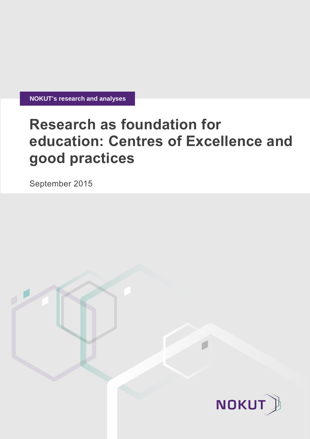**NOKUT's research and analyses**

# **Research as foundation for education: Centres of Excellence and good practices**

September 2015

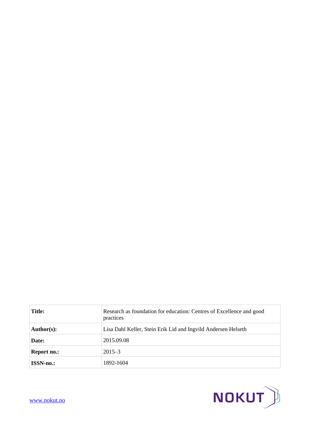| <b>Title:</b>    | Research as foundation for education: Centres of Excellence and good<br>practices |
|------------------|-----------------------------------------------------------------------------------|
| Author(s):       | Lisa Dahl Keller, Stein Erik Lid and Ingvild Andersen Helseth                     |
| Date:            | 2015.09.08                                                                        |
| Report no.:      | $2015 - 3$                                                                        |
| <b>ISSN-no.:</b> | 1892-1604                                                                         |



[www.nokut.no](http://www.nokut.no/)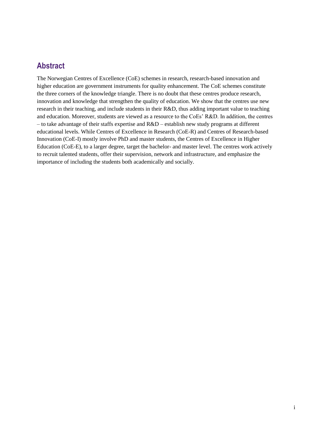## **Abstract**

The Norwegian Centres of Excellence (CoE) schemes in research, research-based innovation and higher education are government instruments for quality enhancement. The CoE schemes constitute the three corners of the knowledge triangle. There is no doubt that these centres produce research, innovation and knowledge that strengthen the quality of education. We show that the centres use new research in their teaching, and include students in their R&D, thus adding important value to teaching and education. Moreover, students are viewed as a resource to the CoEs' R&D. In addition, the centres – to take advantage of their staffs expertise and  $R&D$  – establish new study programs at different educational levels. While Centres of Excellence in Research (CoE-R) and Centres of Research-based Innovation (CoE-I) mostly involve PhD and master students, the Centres of Excellence in Higher Education (CoE-E), to a larger degree, target the bachelor- and master level. The centres work actively to recruit talented students, offer their supervision, network and infrastructure, and emphasize the importance of including the students both academically and socially.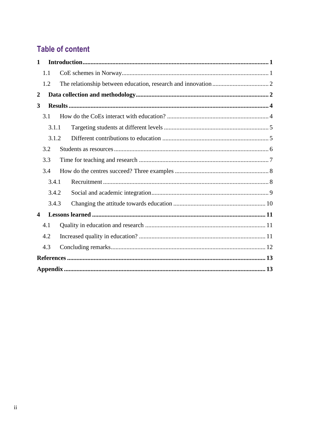## **Table of content**

| $\mathbf{1}$                          |     |  |  |  |  |
|---------------------------------------|-----|--|--|--|--|
|                                       | 1.1 |  |  |  |  |
|                                       | 1.2 |  |  |  |  |
| $\boldsymbol{2}$                      |     |  |  |  |  |
| 3                                     |     |  |  |  |  |
| 3.1                                   |     |  |  |  |  |
| 3.1.1<br>3.1.2                        |     |  |  |  |  |
|                                       |     |  |  |  |  |
|                                       | 3.2 |  |  |  |  |
|                                       | 3.3 |  |  |  |  |
|                                       | 3.4 |  |  |  |  |
| 3.4.1<br>3.4.2<br>3.4.3               |     |  |  |  |  |
|                                       |     |  |  |  |  |
|                                       |     |  |  |  |  |
| $\overline{\mathbf{4}}$<br>4.1<br>4.2 |     |  |  |  |  |
|                                       |     |  |  |  |  |
|                                       |     |  |  |  |  |
|                                       | 4.3 |  |  |  |  |
|                                       |     |  |  |  |  |
|                                       |     |  |  |  |  |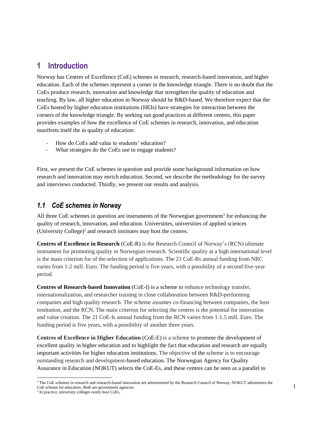## <span id="page-4-0"></span>**1 Introduction**

Norway has Centres of Excellence (CoE) schemes in research, research-based innovation, and higher education. Each of the schemes represent a corner in the knowledge triangle. There is no doubt that the CoEs produce research, innovation and knowledge that strengthen the quality of education and teaching. By law, all higher education in Norway should be R&D-based. We therefore expect that the CoEs hosted by higher education institutions (HEIs) have strategies for interaction between the corners of the knowledge triangle. By seeking out good practices at different centres, this paper provides examples of how the excellence of CoE schemes in research, innovation, and education manifests itself the in quality of education:

- How do CoEs add value to students' education?
- What strategies do the CoEs use to engage students?

First, we present the CoE schemes in question and provide some background information on how research and innovation may enrich education. Second, we describe the methodology for the survey and interviews conducted. Thirdly, we present our results and analysis.

### <span id="page-4-1"></span>*1.1 CoE schemes in Norway*

All three CoE schemes in question are instruments of the Norwegian government<sup>1</sup> for enhancing the quality of research, innovation, and education. Universities, universities of applied sciences (University College) $2$  and research institutes may host the centres.

**Centres of Excellence in Research** (CoE-R) is the Research Council of Norway's (RCN) ultimate instrument for promoting quality in Norwegian research. Scientific quality at a high international level is the main criterion for of the selection of applications. The 21 CoE-Rs annual funding from NRC varies from 1-2 mill. Euro. The funding period is five years, with a possibility of a second five-year period.

**Centres of Research-based Innovation** (CoE-I) is a scheme to enhance technology transfer, internationalization, and researcher training in close collaboration between R&D-performing companies and high quality research. The scheme assumes co-financing between companies, the host institution, and the RCN. The main criterion for selecting the centres is the potential for innovation and value creation. The 21 CoE-Is annual funding from the RCN varies from 1-1.5 mill. Euro. The funding period is five years, with a possibility of another three years.

**Centres of Excellence in Higher Education** (CoE-E) is a scheme to promote the development of excellent quality in higher education and to highlight the fact that education and research are equally important activities for higher education institutions. The objective of the scheme is to encourage outstanding research and development-based education. The Norwegian Agency for Quality Assurance in Education (NOKUT) selects the CoE-Es, and these centres can be seen as a parallel to

 $\overline{a}$ <sup>1</sup> The CoE schemes in research and research-based innovation are administered by the Research Council of Norway. NOKUT administers the CoE scheme for education. Both are government agencies.

<sup>2</sup> In practice, university colleges rarely host CoEs.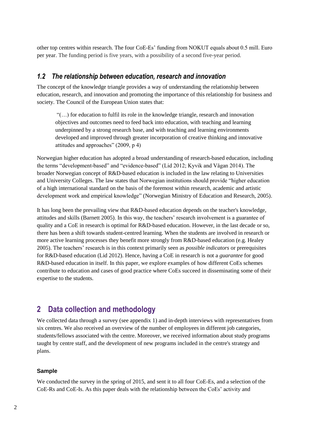other top centres within research. The four CoE-Es' funding from NOKUT equals about 0.5 mill. Euro per year. The funding period is five years, with a possibility of a second five-year period.

### <span id="page-5-0"></span>*1.2 The relationship between education, research and innovation*

The concept of the knowledge triangle provides a way of understanding the relationship between education, research, and innovation and promoting the importance of this relationship for business and society. The Council of the European Union states that:

"(…) for education to fulfil its role in the knowledge triangle, research and innovation objectives and outcomes need to feed back into education, with teaching and learning underpinned by a strong research base, and with teaching and learning environments developed and improved through greater incorporation of creative thinking and innovative attitudes and approaches" (2009, p 4)

Norwegian higher education has adopted a broad understanding of research-based education, including the terms "development-based" and "evidence-based" (Lid 2012; Kyvik and Vågan 2014). The broader Norwegian concept of R&D-based education is included in the law relating to Universities and University Colleges. The law states that Norwegian institutions should provide "higher education of a high international standard on the basis of the foremost within research, academic and artistic development work and empirical knowledge" (Norwegian Ministry of Education and Research, 2005).

It has long been the prevailing view that R&D-based education depends on the teacher's knowledge, attitudes and skills (Barnett 2005). In this way, the teachers' research involvement is a guarantee of quality and a CoE in research is optimal for R&D-based education. However, in the last decade or so, there has been a shift towards student-centred learning. When the students are involved in research or more active learning processes they benefit more strongly from R&D-based education (e.g. Healey 2005). The teachers' research is in this context primarily seen as *possible indicators* or prerequisites for R&D-based education (Lid 2012). Hence, having a CoE in research is not a *guarantee* for good R&D-based education in itself. In this paper, we explore examples of how different CoEs schemes contribute to education and cases of good practice where CoEs succeed in disseminating some of their expertise to the students.

## <span id="page-5-1"></span>**2 Data collection and methodology**

We collected data through a survey (see appendix 1) and in-depth interviews with representatives from six centres. We also received an overview of the number of employees in different job categories, students/fellows associated with the centre. Moreover, we received information about study programs taught by centre staff, and the development of new programs included in the centre's strategy and plans.

#### **Sample**

We conducted the survey in the spring of 2015, and sent it to all four CoE-Es, and a selection of the CoE-Rs and CoE-Is. As this paper deals with the relationship between the CoEs' activity and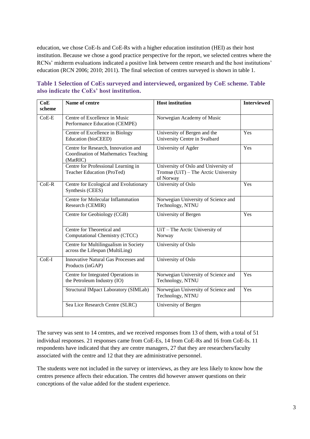education, we chose CoE-Is and CoE-Rs with a higher education institution (HEI) as their host institution. Because we chose a good practice perspective for the report, we selected centres where the RCNs' midterm evaluations indicated a positive link between centre research and the host institutions' education (RCN 2006; 2010; 2011). The final selection of centres surveyed is shown in table 1.

| CoE<br>scheme | Name of centre                                                                                 | <b>Host institution</b>                                                                   | <b>Interviewed</b> |
|---------------|------------------------------------------------------------------------------------------------|-------------------------------------------------------------------------------------------|--------------------|
| $CoE-E$       | Centre of Excellence in Music<br>Performance Education (CEMPE)                                 | Norwegian Academy of Music                                                                |                    |
|               | Centre of Excellence in Biology<br>Education (bioCEED)                                         | University of Bergen and the<br>University Centre in Svalbard                             | Yes                |
|               | Centre for Research, Innovation and<br><b>Coordination of Mathematics Teaching</b><br>(MatRIC) | University of Agder                                                                       | Yes                |
|               | Centre for Professional Learning in<br>Teacher Education (ProTed)                              | University of Oslo and University of<br>Tromsø (UiT) - The Arctic University<br>of Norway |                    |
| $CoE-R$       | Centre for Ecological and Evolutionary<br>Synthesis (CEES)                                     | University of Oslo                                                                        | Yes                |
|               | Centre for Molecular Inflammation<br>Research (CEMIR)                                          | Norwegian University of Science and<br>Technology, NTNU                                   |                    |
|               | Centre for Geobiology (CGB)                                                                    | University of Bergen                                                                      | Yes                |
|               | Centre for Theoretical and<br>Computational Chemistry (CTCC)                                   | UiT - The Arctic University of<br>Norway                                                  |                    |
|               | Centre for Multilingualism in Society<br>across the Lifespan (MultiLing)                       | University of Oslo                                                                        |                    |
| $CoE-I$       | Innovative Natural Gas Processes and<br>Products (inGAP)                                       | University of Oslo                                                                        |                    |
|               | Centre for Integrated Operations in<br>the Petroleum Industry (IO)                             | Norwegian University of Science and<br>Technology, NTNU                                   | Yes                |
|               | Structural IMpact Laboratory (SIMLab)                                                          | Norwegian University of Science and<br>Technology, NTNU                                   | Yes                |
|               | Sea Lice Research Centre (SLRC)                                                                | University of Bergen                                                                      |                    |

### **Table 1 Selection of CoEs surveyed and interviewed, organized by CoE scheme. Table also indicate the CoEs' host institution.**

The survey was sent to 14 centres, and we received responses from 13 of them, with a total of 51 individual responses. 21 responses came from CoE-Es, 14 from CoE-Rs and 16 from CoE-Is. 11 respondents have indicated that they are centre managers, 27 that they are researchers/faculty associated with the centre and 12 that they are administrative personnel.

The students were not included in the survey or interviews, as they are less likely to know how the centres presence affects their education. The centres did however answer questions on their conceptions of the value added for the student experience.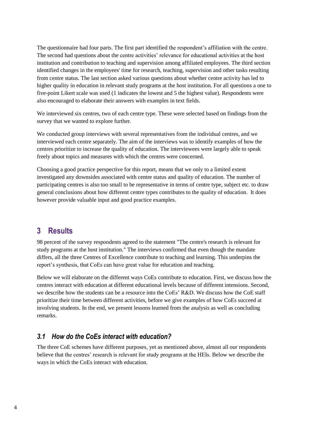The questionnaire had four parts. The first part identified the respondent's affiliation with the centre. The second had questions about the centre activities' relevance for educational activities at the host institution and contribution to teaching and supervision among affiliated employees. The third section identified changes in the employees' time for research, teaching, supervision and other tasks resulting from centre status. The last section asked various questions about whether centre activity has led to higher quality in education in relevant study programs at the host institution. For all questions a one to five-point Likert scale was used (1 indicates the lowest and 5 the highest value). Respondents were also encouraged to elaborate their answers with examples in text fields.

We interviewed six centres, two of each centre type. These were selected based on findings from the survey that we wanted to explore further.

We conducted group interviews with several representatives from the individual centres, and we interviewed each centre separately. The aim of the interviews was to identify examples of how the centres prioritize to increase the quality of education. The interviewees were largely able to speak freely about topics and measures with which the centres were concerned.

Choosing a good practice perspective for this report, means that we only to a limited extent investigated any downsides associated with centre status and quality of education. The number of participating centres is also too small to be representative in terms of centre type, subject etc. to draw general conclusions about how different centre types contributes to the quality of education. It does however provide valuable input and good practice examples.

## <span id="page-7-0"></span>**3 Results**

98 percent of the survey respondents agreed to the statement "The centre's research is relevant for study programs at the host institution." The interviews confirmed that even though the mandate differs, all the three Centres of Excellence contribute to teaching and learning. This underpins the report's synthesis, that CoEs can have great value for education and teaching.

Below we will elaborate on the different ways CoEs contribute to education. First, we discuss how the centres interact with education at different educational levels because of different intensions. Second, we describe how the students can be a resource into the CoEs' R&D. We discuss how the CoE staff prioritize their time between different activities, before we give examples of how CoEs succeed at involving students. In the end, we present lessons learned from the analysis as well as concluding remarks.

### <span id="page-7-1"></span>*3.1 How do the CoEs interact with education?*

The three CoE schemes have different purposes, yet as mentioned above, almost all our respondents believe that the centres' research is relevant for study programs at the HEIs. Below we describe the ways in which the CoEs interact with education.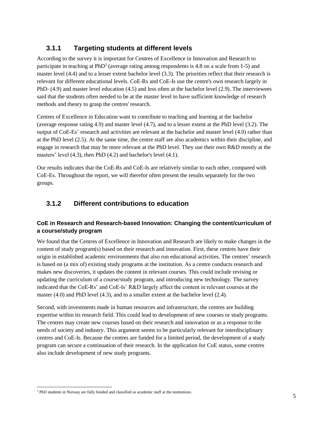## <span id="page-8-0"></span>**3.1.1 Targeting students at different levels**

According to the survey it is important for Centres of Excellence in Innovation and Research to participate in teaching at PhD<sup>3</sup> (average rating among respondents is 4.8 on a scale from 1-5) and master level (4.4) and to a lesser extent bachelor level (3.3). The priorities reflect that their research is relevant for different educational levels. CoE-Rs and CoE-Is use the centre's own research largely in PhD- (4.9) and master level education (4.5) and less often at the bachelor level (2.9). The interviewees said that the students often needed to be at the master level to have sufficient knowledge of research methods and theory to grasp the centres' research.

Centres of Excellence in Education want to contribute to teaching and learning at the bachelor (average response rating 4.9) and master level (4.7), and to a lesser extent at the PhD level (3.2). The output of CoE-Es' research and activities are relevant at the bachelor and master level (4.0) rather than at the PhD level (2.5). At the same time, the centre staff are also academics within their discipline, and engage in research that may be more relevant at the PhD level. They use their own R&D mostly at the masters' level (4.3), then PhD (4.2) and bachelor's level (4.1).

Our results indicates that the CoE-Rs and CoE-Is are relatively similar to each other, compared with CoE-Es. Throughout the report, we will therefor often present the results separately for the two groups.

## <span id="page-8-1"></span>**3.1.2 Different contributions to education**

#### **CoE in Research and Research-based Innovation: Changing the content/curriculum of a course/study program**

We found that the Centres of Excellence in Innovation and Research are likely to make changes in the content of study program(s) based on their research and innovation. First, these centres have their origin in established academic environments that also run educational activities. The centres' research is based on (a mix of) existing study programs at the institution. As a centre conducts research and makes new discoveries, it updates the content in relevant courses. This could include revising or updating the curriculum of a course/study program, and introducing new technology. The survey indicated that the CoE-Rs' and CoE-Is' R&D largely affect the content in relevant courses at the master (4.0) and PhD level (4.3), and to a smaller extent at the bachelor level (2.4).

Second, with investments made in human resources and infrastructure, the centres are building expertise within its research field. This could lead to development of new courses or study programs. The centres may create new courses based on their research and innovation or as a response to the needs of society and industry. This argument seems to be particularly relevant for interdisciplinary centres and CoE-Is. Because the centres are funded for a limited period, the development of a study program can secure a continuation of their research. In the application for CoE status, some centres also include development of new study programs.

 $\overline{a}$ <sup>3</sup> PhD students in Norway are fully funded and classified as academic staff at the institutions.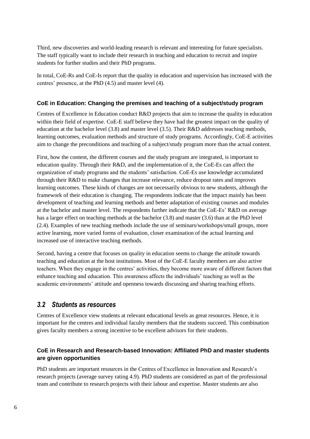Third, new discoveries and world-leading research is relevant and interesting for future specialists. The staff typically want to include their research in teaching and education to recruit and inspire students for further studies and their PhD programs.

In total, CoE-Rs and CoE-Is report that the quality in education and supervision has increased with the centres' presence, at the PhD (4.5) and master level (4).

#### **CoE in Education: Changing the premises and teaching of a subject/study program**

Centres of Excellence in Education conduct R&D projects that aim to increase the quality in education within their field of expertise. CoE-E staff believe they have had the greatest impact on the quality of education at the bachelor level (3.8) and master level (3.5). Their R&D addresses teaching methods, learning outcomes, evaluation methods and structure of study programs. Accordingly, CoE-E activities aim to change the preconditions and teaching of a subject/study program more than the actual content.

First, how the content, the different courses and the study program are integrated, is important to education quality. Through their R&D, and the implementation of it, the CoE-Es can affect the organization of study programs and the students' satisfaction. CoE-Es use knowledge accumulated through their R&D to make changes that increase relevance, reduce dropout rates and improves learning outcomes. These kinds of changes are not necessarily obvious to new students, although the framework of their education is changing. The respondents indicate that the impact mainly has been development of teaching and learning methods and better adaptation of existing courses and modules at the bachelor and master level. The respondents further indicate that the CoE-Es' R&D on average has a larger effect on teaching methods at the bachelor (3.8) and master (3.6) than at the PhD level (2.4). Examples of new teaching methods include the use of seminars/workshops/small groups, more active learning, more varied forms of evaluation, closer examination of the actual learning and increased use of interactive teaching methods.

Second, having a centre that focuses on quality in education seems to change the attitude towards teaching and education at the host institutions. Most of the CoE-E faculty members are also active teachers. When they engage in the centres' activities, they become more aware of different factors that enhance teaching and education. This awareness affects the individuals' teaching as well as the academic environments' attitude and openness towards discussing and sharing teaching efforts.

### <span id="page-9-0"></span>*3.2 Students as resources*

Centres of Excellence view students at relevant educational levels as great resources. Hence, it is important for the centres and individual faculty members that the students succeed. This combination gives faculty members a strong incentive to be excellent advisors for their students.

#### **CoE in Research and Research-based Innovation: Affiliated PhD and master students are given opportunities**

PhD students are important resources in the Centres of Excellence in Innovation and Research's research projects (average survey rating 4.9). PhD students are considered as part of the professional team and contribute to research projects with their labour and expertise. Master students are also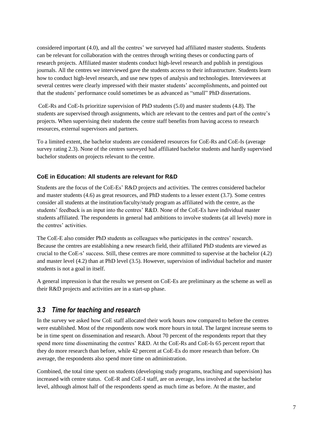considered important (4.0), and all the centres' we surveyed had affiliated master students. Students can be relevant for collaboration with the centres through writing theses or conducting parts of research projects. Affiliated master students conduct high-level research and publish in prestigious journals. All the centres we interviewed gave the students access to their infrastructure. Students learn how to conduct high-level research, and use new types of analysis and technologies. Interviewees at several centres were clearly impressed with their master students' accomplishments, and pointed out that the students' performance could sometimes be as advanced as "small" PhD dissertations.

CoE-Rs and CoE-Is prioritize supervision of PhD students (5.0) and master students (4.8). The students are supervised through assignments, which are relevant to the centres and part of the centre's projects. When supervising their students the centre staff benefits from having access to research resources, external supervisors and partners.

To a limited extent, the bachelor students are considered resources for CoE-Rs and CoE-Is (average survey rating 2.3). None of the centres surveyed had affiliated bachelor students and hardly supervised bachelor students on projects relevant to the centre.

#### **CoE in Education: All students are relevant for R&D**

Students are the focus of the CoE-Es' R&D projects and activities. The centres considered bachelor and master students (4.6) as great resources, and PhD students to a lesser extent (3.7). Some centres consider all students at the institution/faculty/study program as affiliated with the centre, as the students' feedback is an input into the centres' R&D. None of the CoE-Es have individual master students affiliated. The respondents in general had ambitions to involve students (at all levels) more in the centres' activities.

The CoE-E also consider PhD students as colleagues who participates in the centres' research. Because the centres are establishing a new research field, their affiliated PhD students are viewed as crucial to the CoE-s' success. Still, these centres are more committed to supervise at the bachelor (4.2) and master level (4.2) than at PhD level (3.5). However, supervision of individual bachelor and master students is not a goal in itself.

A general impression is that the results we present on CoE-Es are preliminary as the scheme as well as their R&D projects and activities are in a start-up phase.

### <span id="page-10-0"></span>*3.3 Time for teaching and research*

In the survey we asked how CoE staff allocated their work hours now compared to before the centres were established. Most of the respondents now work more hours in total. The largest increase seems to be in time spent on dissemination and research. About 70 percent of the respondents report that they spend more time disseminating the centres' R&D. At the CoE-Rs and CoE-Is 65 percent report that they do more research than before, while 42 percent at CoE-Es do more research than before. On average, the respondents also spend more time on administration.

Combined, the total time spent on students (developing study programs, teaching and supervision) has increased with centre status. CoE-R and CoE-I staff, are on average, less involved at the bachelor level, although almost half of the respondents spend as much time as before. At the master, and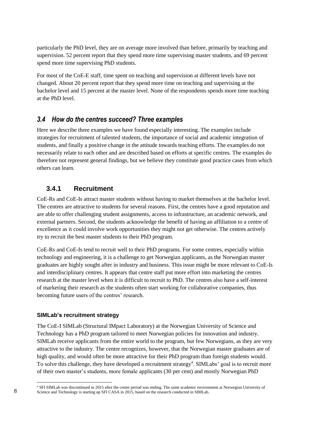particularly the PhD level, they are on average more involved than before, primarily by teaching and supervision. 52 percent report that they spend more time supervising master students, and 69 percent spend more time supervising PhD students.

For most of the CoE-E staff, time spent on teaching and supervision at different levels have not changed. About 20 percent report that they spend more time on teaching and supervising at the bachelor level and 15 percent at the master level. None of the respondents spends more time teaching at the PhD level.

### <span id="page-11-0"></span>*3.4 How do the centres succeed? Three examples*

Here we describe three examples we have found especially interesting. The examples include strategies for recruitment of talented students, the importance of social and academic integration of students, and finally a positive change in the attitude towards teaching efforts. The examples do not necessarily relate to each other and are described based on efforts at specific centres. The examples do therefore not represent general findings, but we believe they constitute good practice cases from which others can learn.

#### <span id="page-11-1"></span>**3.4.1 Recruitment**

CoE-Rs and CoE-Is attract master students without having to market themselves at the bachelor level. The centres are attractive to students for several reasons. First, the centres have a good reputation and are able to offer challenging student assignments, access to infrastructure, an academic network, and external partners. Second, the students acknowledge the benefit of having an affiliation to a centre of excellence as it could involve work opportunities they might not get otherwise. The centres actively try to recruit the best master students to their PhD program.

CoE-Rs and CoE-Is tend to recruit well to their PhD programs. For some centres, especially within technology and engineering, it is a challenge to get Norwegian applicants, as the Norwegian master graduates are highly sought after in industry and business. This issue might be more relevant to CoE-Is and interdisciplinary centres. It appears that centre staff put more effort into marketing the centres research at the master level when it is difficult to recruit to PhD. The centres also have a self-interest of marketing their research as the students often start working for collaborative companies, thus becoming future users of the centres' research.

#### **SIMLab's recruitment strategy**

The CoE-I SIMLab (Structural IMpact Laboratory) at the Norwegian University of Science and Technology has a PhD program tailored to meet Norwegian policies for innovation and industry. SIMLab receive applicants from the entire world to the program, but few Norwegians, as they are very attractive to the industry. The centre recognizes, however, that the Norwegian master graduates are of high quality, and would often be more attractive for their PhD program than foreign students would. To solve this challenge, they have developed a recruitment strategy<sup>4</sup>. SIMLabs' goal is to recruit more of their own master's students, more female applicants (30 per cent) and mostly Norwegian PhD

l

<sup>4</sup> SFI SIMLab was discontinued in 2015 after the center period was ending. The same academic environment at Norwegian University of Science and Technology is starting up SFI CASA in 2015, based on the research conducted in SIMLab.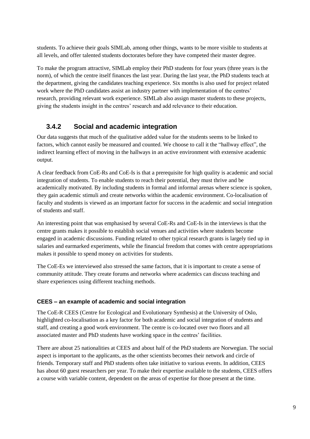students. To achieve their goals SIMLab, among other things, wants to be more visible to students at all levels, and offer talented students doctorates before they have competed their master degree.

To make the program attractive, SIMLab employ their PhD students for four years (three years is the norm), of which the centre itself finances the last year. During the last year, the PhD students teach at the department, giving the candidates teaching experience. Six months is also used for project related work where the PhD candidates assist an industry partner with implementation of the centres' research, providing relevant work experience. SIMLab also assign master students to these projects, giving the students insight in the centres' research and add relevance to their education.

## <span id="page-12-0"></span>**3.4.2 Social and academic integration**

Our data suggests that much of the qualitative added value for the students seems to be linked to factors, which cannot easily be measured and counted. We choose to call it the "hallway effect", the indirect learning effect of moving in the hallways in an active environment with extensive academic output.

A clear feedback from CoE-Rs and CoE-Is is that a prerequisite for high quality is academic and social integration of students. To enable students to reach their potential, they must thrive and be academically motivated. By including students in formal and informal arenas where science is spoken, they gain academic stimuli and create networks within the academic environment. Co-localisation of faculty and students is viewed as an important factor for success in the academic and social integration of students and staff.

An interesting point that was emphasised by several CoE-Rs and CoE-Is in the interviews is that the centre grants makes it possible to establish social venues and activities where students become engaged in academic discussions. Funding related to other typical research grants is largely tied up in salaries and earmarked experiments, while the financial freedom that comes with centre appropriations makes it possible to spend money on activities for students.

The CoE-Es we interviewed also stressed the same factors, that it is important to create a sense of community attitude. They create forums and networks where academics can discuss teaching and share experiences using different teaching methods.

### **CEES – an example of academic and social integration**

The CoE-R CEES (Centre for Ecological and Evolutionary Synthesis) at the University of Oslo, highlighted co-localisation as a key factor for both academic and social integration of students and staff, and creating a good work environment. The centre is co-located over two floors and all associated master and PhD students have working space in the centres' facilities.

There are about 25 nationalities at CEES and about half of the PhD students are Norwegian. The social aspect is important to the applicants, as the other scientists becomes their network and circle of friends. Temporary staff and PhD students often take initiative to various events. In addition, CEES has about 60 guest researchers per year. To make their expertise available to the students, CEES offers a course with variable content, dependent on the areas of expertise for those present at the time.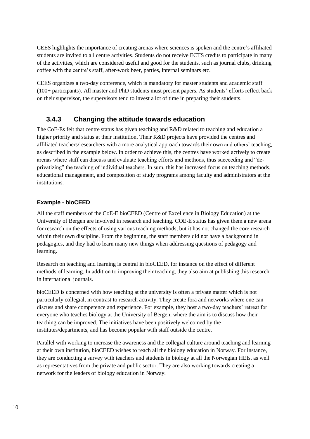CEES highlights the importance of creating arenas where sciences is spoken and the centre's affiliated students are invited to all centre activities. Students do not receive ECTS credits to participate in many of the activities, which are considered useful and good for the students, such as journal clubs, drinking coffee with the centre's staff, after-work beer, parties, internal seminars etc.

CEES organizes a two-day conference, which is mandatory for master students and academic staff (100+ participants). All master and PhD students must present papers. As students' efforts reflect back on their supervisor, the supervisors tend to invest a lot of time in preparing their students.

### <span id="page-13-0"></span>**3.4.3 Changing the attitude towards education**

The CoE-Es felt that centre status has given teaching and R&D related to teaching and education a higher priority and status at their institution. Their R&D projects have provided the centres and affiliated teachers/researchers with a more analytical approach towards their own and others' teaching, as described in the example below. In order to achieve this, the centres have worked actively to create arenas where staff can discuss and evaluate teaching efforts and methods, thus succeeding and "deprivatizing" the teaching of individual teachers. In sum, this has increased focus on teaching methods, educational management, and composition of study programs among faculty and administrators at the institutions.

#### **Example - bioCEED**

All the staff members of the CoE-E bioCEED (Centre of Excellence in Biology Education) at the University of Bergen are involved in research and teaching. COE-E status has given them a new arena for research on the effects of using various teaching methods, but it has not changed the core research within their own discipline. From the beginning, the staff members did not have a background in pedagogics, and they had to learn many new things when addressing questions of pedagogy and learning.

Research on teaching and learning is central in bioCEED, for instance on the effect of different methods of learning. In addition to improving their teaching, they also aim at publishing this research in international journals.

bioCEED is concerned with how teaching at the university is often a private matter which is not particularly collegial, in contrast to research activity. They create fora and networks where one can discuss and share competence and experience. For example, they host a two-day teachers' retreat for everyone who teaches biology at the University of Bergen, where the aim is to discuss how their teaching can be improved. The initiatives have been positively welcomed by the institutes/departments, and has become popular with staff outside the centre.

Parallel with working to increase the awareness and the collegial culture around teaching and learning at their own institution, bioCEED wishes to reach all the biology education in Norway. For instance, they are conducting a survey with teachers and students in biology at all the Norwegian HEIs, as well as representatives from the private and public sector. They are also working towards creating a network for the leaders of biology education in Norway.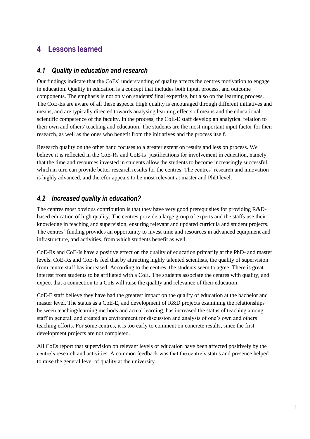## <span id="page-14-0"></span>**4 Lessons learned**

### <span id="page-14-1"></span>*4.1 Quality in education and research*

Our findings indicate that the CoEs' understanding of quality affects the centres motivation to engage in education. Quality in education is a concept that includes both input, process, and outcome components. The emphasis is not only on students' final expertise, but also on the learning process. The CoE-Es are aware of all these aspects. High quality is encouraged through different initiatives and means, and are typically directed towards analysing learning effects of means and the educational scientific competence of the faculty. In the process, the CoE-E staff develop an analytical relation to their own and others' teaching and education. The students are the most important input factor for their research, as well as the ones who benefit from the initiatives and the process itself.

Research quality on the other hand focuses to a greater extent on results and less on process. We believe it is reflected in the CoE-Rs and CoE-Is' justifications for involvement in education, namely that the time and resources invested in students allow the students to become increasingly successful, which in turn can provide better research results for the centres. The centres' research and innovation is highly advanced, and therefor appears to be most relevant at master and PhD level.

## <span id="page-14-2"></span>*4.2 Increased quality in education?*

The centres most obvious contribution is that they have very good prerequisites for providing R&Dbased education of high quality. The centres provide a large group of experts and the staffs use their knowledge in teaching and supervision, ensuring relevant and updated curricula and student projects. The centres' funding provides an opportunity to invest time and resources in advanced equipment and infrastructure, and activities, from which students benefit as well.

CoE-Rs and CoE-Is have a positive effect on the quality of education primarily at the PhD- and master levels. CoE-Rs and CoE-Is feel that by attracting highly talented scientists, the quality of supervision from centre staff has increased. According to the centres, the students seem to agree. There is great interest from students to be affiliated with a CoE. The students associate the centres with quality, and expect that a connection to a CoE will raise the quality and relevance of their education.

CoE-E staff believe they have had the greatest impact on the quality of education at the bachelor and master level. The status as a CoE-E, and development of R&D projects examining the relationships between teaching/learning methods and actual learning, has increased the status of teaching among staff in general, and created an environment for discussion and analysis of one's own and others teaching efforts. For some centres, it is too early to comment on concrete results, since the first development projects are not completed.

All CoEs report that supervision on relevant levels of education have been affected positively by the centre's research and activities. A common feedback was that the centre's status and presence helped to raise the general level of quality at the university.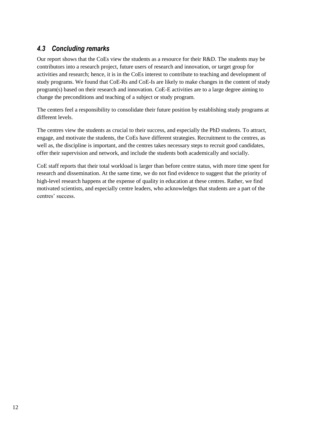## <span id="page-15-0"></span>*4.3 Concluding remarks*

Our report shows that the CoEs view the students as a resource for their R&D. The students may be contributors into a research project, future users of research and innovation, or target group for activities and research; hence, it is in the CoEs interest to contribute to teaching and development of study programs. We found that CoE-Rs and CoE-Is are likely to make changes in the content of study program(s) based on their research and innovation. CoE-E activities are to a large degree aiming to change the preconditions and teaching of a subject or study program.

The centers feel a responsibility to consolidate their future position by establishing study programs at different levels.

The centres view the students as crucial to their success, and especially the PhD students. To attract, engage, and motivate the students, the CoEs have different strategies. Recruitment to the centres, as well as, the discipline is important, and the centres takes necessary steps to recruit good candidates, offer their supervision and network, and include the students both academically and socially.

CoE staff reports that their total workload is larger than before centre status, with more time spent for research and dissemination. At the same time, we do not find evidence to suggest that the priority of high-level research happens at the expense of quality in education at these centres. Rather, we find motivated scientists, and especially centre leaders, who acknowledges that students are a part of the centres' success.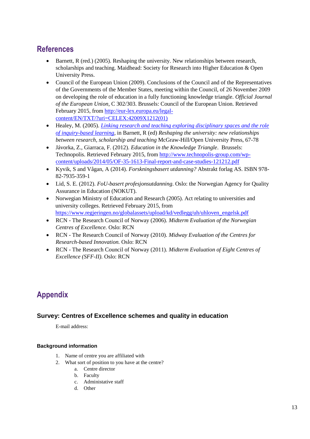## <span id="page-16-0"></span>**References**

- $\bullet$  Barnett, R (red.) (2005). Reshaping the university. New relationships between research, scholarships and teaching. Maidhead: Society for Research into Higher Education & Open University Press.
- Council of the European Union (2009). Conclusions of the Council and of the Representatives of the Governments of the Member States, meeting within the Council, of 26 November 2009 on developing the role of education in a fully functioning knowledge triangle. *Official Journal of the European Union*, C 302/303. Brussels: Council of the European Union. Retrieved February 2015, from [http://eur-lex.europa.eu/legal](http://eur-lex.europa.eu/legal-content/EN/TXT/?uri=CELEX:42009X1212(01))[content/EN/TXT/?uri=CELEX:42009X1212\(01\)](http://eur-lex.europa.eu/legal-content/EN/TXT/?uri=CELEX:42009X1212(01))
- Healey, M. (2005). *[Linking research and teaching exploring disciplinary spaces and the role](http://www.mickhealey.co.uk/www.delta.wisc.edu/Events/BBB%20Balance%20Healey.pdf)  [of inquiry-based learning](http://www.mickhealey.co.uk/www.delta.wisc.edu/Events/BBB%20Balance%20Healey.pdf)*, in Barnett, R (ed) *Reshaping the university: new relationships between research, scholarship and teaching* McGraw-Hill/Open University Press, 67-78
- Jávorka, Z., Giarraca, F. (2012). *Education in the Knowledge Triangle*. Brussels: Technopolis. Retrieved February 2015, from [http://www.technopolis-group.com/wp](http://www.technopolis-group.com/wp-content/uploads/2014/05/OF-35-1613-Final-report-and-case-studies-121212.pdf)[content/uploads/2014/05/OF-35-1613-Final-report-and-case-studies-121212.pdf](http://www.technopolis-group.com/wp-content/uploads/2014/05/OF-35-1613-Final-report-and-case-studies-121212.pdf)
- Kyvik, S and Vågan, A (2014). *Forskningsbasert utdanning?* Abstrakt forlag AS. ISBN 978- 82-7935-359-1
- Lid, S. E. (2012). *FoU-basert profesjonsutdanning*. Oslo: the Norwegian Agency for Quality Assurance in Education (NOKUT).
- Norwegian Ministry of Education and Research (2005). Act relating to universities and university colleges. Retrieved February 2015, from [https://www.regjeringen.no/globalassets/upload/kd/vedlegg/uh/uhloven\\_engelsk.pdf](https://www.regjeringen.no/globalassets/upload/kd/vedlegg/uh/uhloven_engelsk.pdf)
- RCN The Research Council of Norway (2006). *Midterm Evaluation of the Norwegian Centres of Excellence.* Oslo: RCN
- RCN The Research Council of Norway (2010). *Midway Evaluation of the Centres for Research-based Innovation.* Oslo: RCN
- RCN The Research Council of Norway (2011). *Midterm Evaluation of Eight Centres of Excellence (SFF-II).* Oslo: RCN

## <span id="page-16-1"></span>**Appendix**

### **Survey: Centres of Excellence schemes and quality in education**

E-mail address:

#### **Background information**

- 1. Name of centre you are affiliated with
- 2. What sort of position to you have at the centre?
	- a. Centre director
	- b. Faculty
	- c. Administative staff
	- d. Other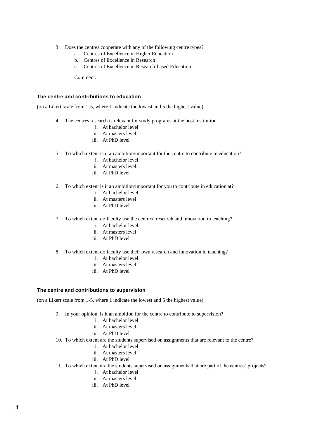- 3. Does the centres cooperate with any of the following centre types?
	- a. Centres of Excellence in Higher Education
	- b. Centres of Excellence in Research
	- c. Centres of Excellence in Research-based Education

Comment:

#### **The centre and contributions to education**

(on a Likert scale from 1-5, where 1 indicate the lowest and 5 the highest value)

- 4. The centres research is relevant for study programs at the host institution
	- i. At bachelor level
	- ii. At masters level
	- iii. At PhD level
- 5. To which extent is it an ambition/important for the centre to contribute in education?
	- i. At bachelor level
	- ii. At masters level
	- iii. At PhD level
- 6. To which extent is it an ambition/important for you to contribute in education at?
	- i. At bachelor level
	- ii. At masters level
	- iii. At PhD level
- 7. To which extent do faculty use the centres' research and innovation in teaching?
	- i. At bachelor level
	- ii. At masters level
	- iii. At PhD level
- 8. To which extent do faculty use their own research and innovation in teaching?
	- i. At bachelor level
	- ii. At masters level
	- iii. At PhD level

#### **The centre and contributions to supervision**

(on a Likert scale from 1-5, where 1 indicate the lowest and 5 the highest value)

- 9. In your opinion, is it an ambition for the centre to contribute to supervision?
	- i. At bachelor level
	- ii. At masters level
	- iii. At PhD level
- 10. To which extent are the students supervised on assignments that are relevant to the centre?
	- i. At bachelor level
	- ii. At masters level
	- iii. At PhD level
- 11. To which extent are the students supervised on assignments that are part of the centres' projects?
	- i. At bachelor level
	- ii. At masters level
	- iii. At PhD level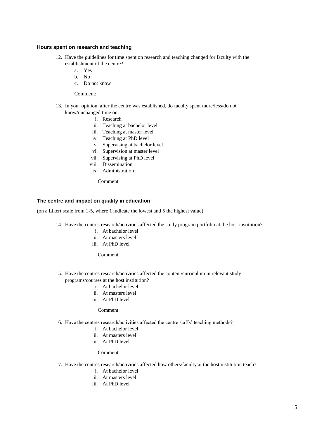#### **Hours spent on research and teaching**

- 12. Have the guidelines for time spent on research and teaching changed for faculty with the establishment of the centre?
	- a. Yes
	- b. No
	- c. Do not know
	- Comment:
- 13. In your opinion, after the centre was established, do faculty spent more/less/do not know/unchanged time on:
	- i. Research
	- ii. Teaching at bachelor level
	- iii. Teaching at master level
	- iv. Teaching at PhD level
	- v. Supervising at bachelor level
	- vi. Supervision at master level
	- vii. Supervising at PhD level
	- viii. Dissemination
	- ix. Administration

Comment:

#### **The centre and impact on quality in education**

(on a Likert scale from 1-5, where 1 indicate the lowest and 5 the highest value)

- 14. Have the centres research/activities affected the study program portfolio at the host institution?
	- i. At bachelor level
	- ii. At masters level
	- iii. At PhD level

Comment:

- 15. Have the centres research/activities affected the content/curriculum in relevant study programs/courses at the host institution?
	- i. At bachelor level
	- ii. At masters level
	- iii. At PhD level

#### Comment:

- 16. Have the centres research/activities affected the centre staffs' teaching methods?
	- i. At bachelor level
	- ii. At masters level
	- iii. At PhD level

#### Comment:

- 17. Have the centres research/activities affected how others/faculty at the host institution teach?
	- i. At bachelor level
	- ii. At masters level
	- iii. At PhD level